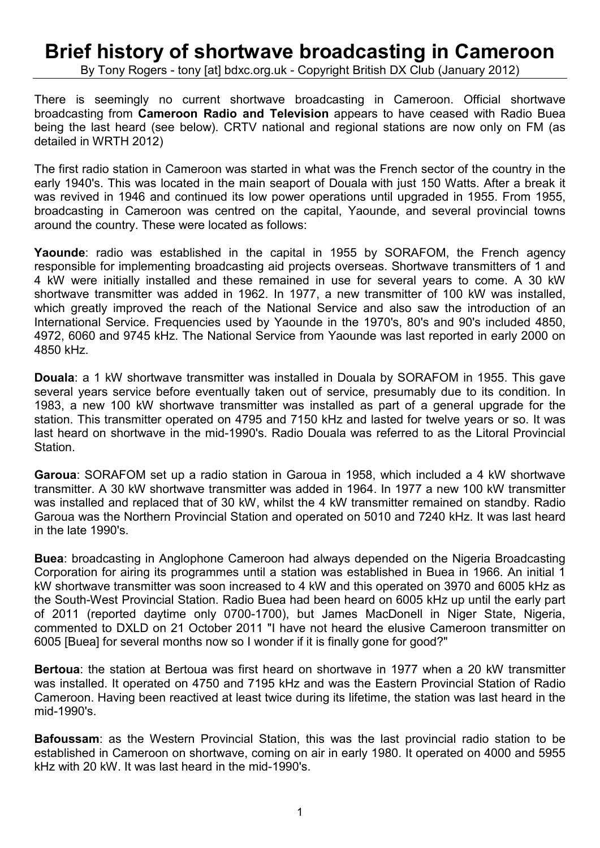## **Brief history of shortwave broadcasting in Cameroon**

By Tony Rogers - tony [at] bdxc.org.uk - Copyright British DX Club (January 2012)

There is seemingly no current shortwave broadcasting in Cameroon. Official shortwave broadcasting from **Cameroon Radio and Television** appears to have ceased with Radio Buea being the last heard (see below). CRTV national and regional stations are now only on FM (as detailed in WRTH 2012)

The first radio station in Cameroon was started in what was the French sector of the country in the early 1940's. This was located in the main seaport of Douala with just 150 Watts. After a break it was revived in 1946 and continued its low power operations until upgraded in 1955. From 1955, broadcasting in Cameroon was centred on the capital, Yaounde, and several provincial towns around the country. These were located as follows:

**Yaounde**: radio was established in the capital in 1955 by SORAFOM, the French agency responsible for implementing broadcasting aid projects overseas. Shortwave transmitters of 1 and 4 kW were initially installed and these remained in use for several years to come. A 30 kW shortwave transmitter was added in 1962. In 1977, a new transmitter of 100 kW was installed, which greatly improved the reach of the National Service and also saw the introduction of an International Service. Frequencies used by Yaounde in the 1970's, 80's and 90's included 4850, 4972, 6060 and 9745 kHz. The National Service from Yaounde was last reported in early 2000 on 4850 kHz.

**Douala**: a 1 kW shortwave transmitter was installed in Douala by SORAFOM in 1955. This gave several years service before eventually taken out of service, presumably due to its condition. In 1983, a new 100 kW shortwave transmitter was installed as part of a general upgrade for the station. This transmitter operated on 4795 and 7150 kHz and lasted for twelve years or so. It was last heard on shortwave in the mid-1990's. Radio Douala was referred to as the Litoral Provincial Station.

**Garoua**: SORAFOM set up a radio station in Garoua in 1958, which included a 4 kW shortwave transmitter. A 30 kW shortwave transmitter was added in 1964. In 1977 a new 100 kW transmitter was installed and replaced that of 30 kW, whilst the 4 kW transmitter remained on standby. Radio Garoua was the Northern Provincial Station and operated on 5010 and 7240 kHz. It was last heard in the late 1990's.

**Buea**: broadcasting in Anglophone Cameroon had always depended on the Nigeria Broadcasting Corporation for airing its programmes until a station was established in Buea in 1966. An initial 1 kW shortwave transmitter was soon increased to 4 kW and this operated on 3970 and 6005 kHz as the South-West Provincial Station. Radio Buea had been heard on 6005 kHz up until the early part of 2011 (reported daytime only 0700-1700), but James MacDonell in Niger State, Nigeria, commented to DXLD on 21 October 2011 "I have not heard the elusive Cameroon transmitter on 6005 [Buea] for several months now so I wonder if it is finally gone for good?"

**Bertoua**: the station at Bertoua was first heard on shortwave in 1977 when a 20 kW transmitter was installed. It operated on 4750 and 7195 kHz and was the Eastern Provincial Station of Radio Cameroon. Having been reactived at least twice during its lifetime, the station was last heard in the mid-1990's.

**Bafoussam**: as the Western Provincial Station, this was the last provincial radio station to be established in Cameroon on shortwave, coming on air in early 1980. It operated on 4000 and 5955 kHz with 20 kW. It was last heard in the mid-1990's.